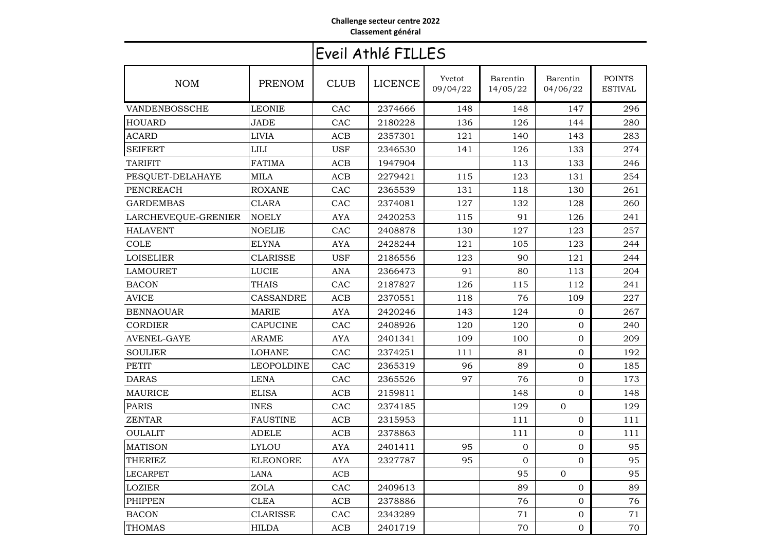## **Challenge secteur centre 2022Classement général**

## Eveil Athlé FILLES

| <b>NOM</b>          | PRENOM            | <b>CLUB</b> | <b>LICENCE</b> | Yvetot<br>09/04/22 | Barentin<br>14/05/22 | Barentin<br>04/06/22 | <b>POINTS</b><br><b>ESTIVAL</b> |
|---------------------|-------------------|-------------|----------------|--------------------|----------------------|----------------------|---------------------------------|
| VANDENBOSSCHE       | <b>LEONIE</b>     | CAC         | 2374666        | 148                | 148                  | 147                  | 296                             |
| <b>HOUARD</b>       | <b>JADE</b>       | CAC         | 2180228        | 136                | 126                  | 144                  | 280                             |
| ACARD               | <b>LIVIA</b>      | <b>ACB</b>  | 2357301        | 121                | 140                  | 143                  | 283                             |
| <b>SEIFERT</b>      | <b>LILI</b>       | <b>USF</b>  | 2346530        | 141                | 126                  | 133                  | 274                             |
| <b>TARIFIT</b>      | <b>FATIMA</b>     | <b>ACB</b>  | 1947904        |                    | 113                  | 133                  | 246                             |
| PESQUET-DELAHAYE    | <b>MILA</b>       | <b>ACB</b>  | 2279421        | 115                | 123                  | 131                  | 254                             |
| PENCREACH           | <b>ROXANE</b>     | CAC         | 2365539        | 131                | 118                  | 130                  | 261                             |
| <b>GARDEMBAS</b>    | <b>CLARA</b>      | CAC         | 2374081        | 127                | 132                  | 128                  | 260                             |
| LARCHEVEQUE-GRENIER | <b>NOELY</b>      | <b>AYA</b>  | 2420253        | 115                | 91                   | 126                  | 241                             |
| <b>HALAVENT</b>     | <b>NOELIE</b>     | CAC         | 2408878        | 130                | 127                  | 123                  | 257                             |
| <b>COLE</b>         | <b>ELYNA</b>      | <b>AYA</b>  | 2428244        | 121                | 105                  | 123                  | 244                             |
| <b>LOISELIER</b>    | CLARISSE          | <b>USF</b>  | 2186556        | 123                | 90                   | 121                  | 244                             |
| <b>LAMOURET</b>     | <b>LUCIE</b>      | ANA         | 2366473        | 91                 | 80                   | 113                  | 204                             |
| <b>BACON</b>        | THAIS             | CAC         | 2187827        | 126                | 115                  | 112                  | 241                             |
| <b>AVICE</b>        | <b>CASSANDRE</b>  | <b>ACB</b>  | 2370551        | 118                | 76                   | 109                  | 227                             |
| <b>BENNAOUAR</b>    | <b>MARIE</b>      | <b>AYA</b>  | 2420246        | 143                | 124                  | 0                    | 267                             |
| <b>CORDIER</b>      | <b>CAPUCINE</b>   | <b>CAC</b>  | 2408926        | 120                | 120                  | $\Omega$             | 240                             |
| <b>AVENEL-GAYE</b>  | <b>ARAME</b>      | <b>AYA</b>  | 2401341        | 109                | 100                  | $\Omega$             | 209                             |
| <b>SOULIER</b>      | <b>LOHANE</b>     | CAC         | 2374251        | 111                | 81                   | $\Omega$             | 192                             |
| <b>PETIT</b>        | <b>LEOPOLDINE</b> | CAC         | 2365319        | 96                 | 89                   | $\Omega$             | 185                             |
| <b>DARAS</b>        | <b>LENA</b>       | CAC         | 2365526        | 97                 | 76                   | 0                    | 173                             |
| <b>MAURICE</b>      | <b>ELISA</b>      | <b>ACB</b>  | 2159811        |                    | 148                  | $\overline{0}$       | 148                             |
| <b>PARIS</b>        | <b>INES</b>       | CAC         | 2374185        |                    | 129                  | $\Omega$             | 129                             |
| <b>ZENTAR</b>       | <b>FAUSTINE</b>   | <b>ACB</b>  | 2315953        |                    | 111                  | $\Omega$             | 111                             |
| <b>OULALIT</b>      | <b>ADELE</b>      | <b>ACB</b>  | 2378863        |                    | 111                  | $\Omega$             | 111                             |
| <b>MATISON</b>      | <b>LYLOU</b>      | <b>AYA</b>  | 2401411        | 95                 | 0                    | 0                    | 95                              |
| THERIEZ             | <b>ELEONORE</b>   | <b>AYA</b>  | 2327787        | 95                 | $\Omega$             | $\Omega$             | 95                              |
| <b>LECARPET</b>     | <b>LANA</b>       | ACB         |                |                    | 95                   | $\Omega$             | 95                              |
| <b>LOZIER</b>       | <b>ZOLA</b>       | CAC         | 2409613        |                    | 89                   | $\mathbf{0}$         | 89                              |
| <b>PHIPPEN</b>      | <b>CLEA</b>       | <b>ACB</b>  | 2378886        |                    | 76                   | $\overline{0}$       | 76                              |
| <b>BACON</b>        | <b>CLARISSE</b>   | CAC         | 2343289        |                    | 71                   | $\Omega$             | 71                              |
| <b>THOMAS</b>       | <b>HILDA</b>      | <b>ACB</b>  | 2401719        |                    | 70                   | 0                    | 70                              |